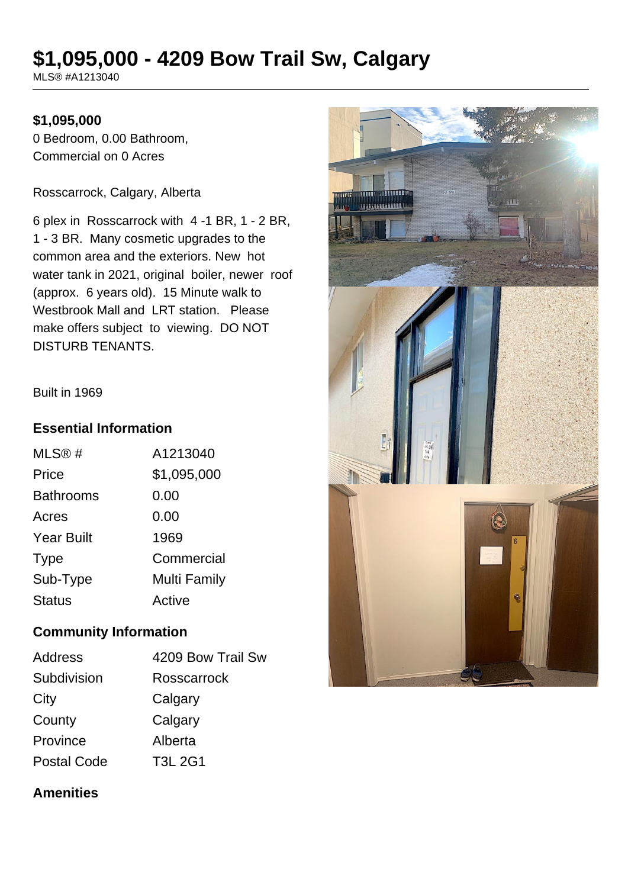# **\$1,095,000 - 4209 Bow Trail Sw, Calgary**

MLS® #A1213040

### **\$1,095,000**

0 Bedroom, 0.00 Bathroom, Commercial on 0 Acres

Rosscarrock, Calgary, Alberta

6 plex in Rosscarrock with 4 -1 BR, 1 - 2 BR, 1 - 3 BR. Many cosmetic upgrades to the common area and the exteriors. New hot water tank in 2021, original boiler, newer roof (approx. 6 years old). 15 Minute walk to Westbrook Mall and LRT station. Please make offers subject to viewing. DO NOT DISTURB TENANTS.

Built in 1969

#### **Essential Information**

| MLS@#             | A1213040            |
|-------------------|---------------------|
| Price             | \$1,095,000         |
| <b>Bathrooms</b>  | 0.00                |
| Acres             | 0.00                |
| <b>Year Built</b> | 1969                |
| <b>Type</b>       | Commercial          |
| Sub-Type          | <b>Multi Family</b> |
| Status            | Active              |

#### **Community Information**

| <b>Address</b>     | 4209 Bow Trail Sw |
|--------------------|-------------------|
| Subdivision        | Rosscarrock       |
| City               | Calgary           |
| County             | Calgary           |
| Province           | Alberta           |
| <b>Postal Code</b> | <b>T3L 2G1</b>    |

# سست m **AZAZANABERRAK**

#### **Amenities**